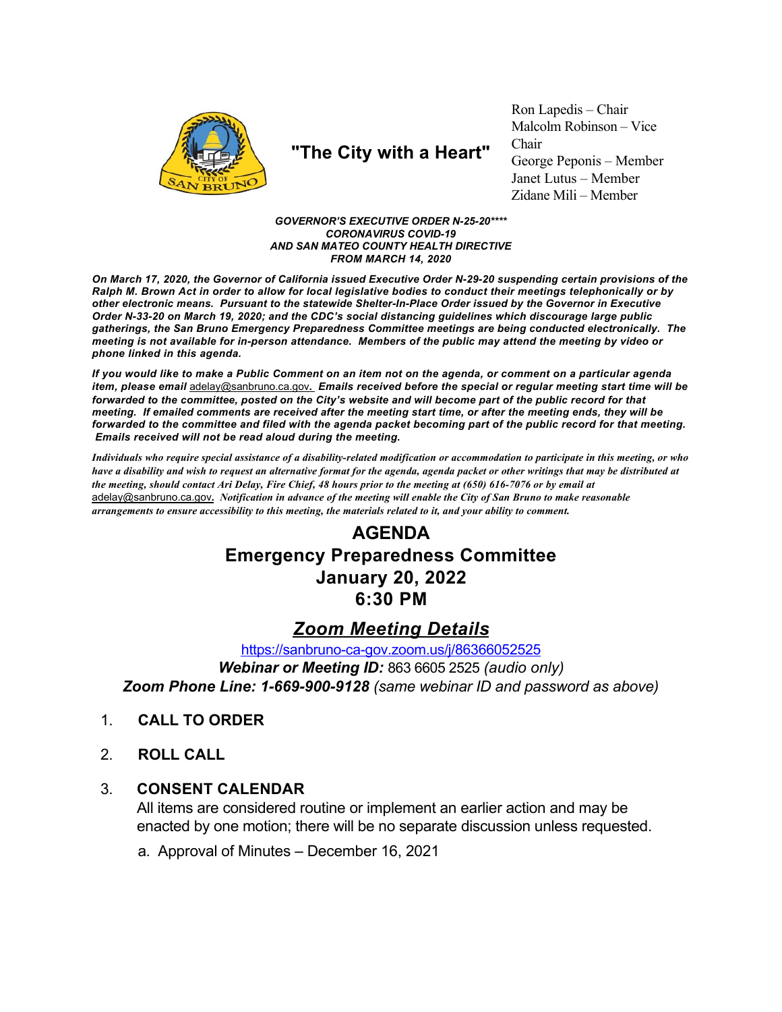

# "The City with a Heart"

Ron Lapedis – Chair Malcolm Robinson - Vice Chair George Peponis – Member Janet Lutus - Member Zidane Mili - Member

### **GOVERNOR'S EXECUTIVE ORDER N-25-20\*\*\*\* CORONAVIRUS COVID-19** AND SAN MATEO COUNTY HEALTH DIRECTIVE **FROM MARCH 14, 2020**

On March 17, 2020, the Governor of California issued Executive Order N-29-20 suspending certain provisions of the Ralph M. Brown Act in order to allow for local legislative bodies to conduct their meetings telephonically or by other electronic means. Pursuant to the statewide Shelter-In-Place Order issued by the Governor in Executive Order N-33-20 on March 19, 2020; and the CDC's social distancing guidelines which discourage large public gatherings, the San Bruno Emergency Preparedness Committee meetings are being conducted electronically. The meeting is not available for in-person attendance. Members of the public may attend the meeting by video or phone linked in this agenda.

If you would like to make a Public Comment on an item not on the agenda, or comment on a particular agenda item, please email adelay@sanbruno.ca.gov. Emails received before the special or regular meeting start time will be forwarded to the committee, posted on the City's website and will become part of the public record for that meeting. If emailed comments are received after the meeting start time, or after the meeting ends, they will be forwarded to the committee and filed with the agenda packet becoming part of the public record for that meeting. Emails received will not be read aloud during the meeting.

Individuals who require special assistance of a disability-related modification or accommodation to participate in this meeting, or who have a disability and wish to request an alternative format for the agenda, agenda packet or other writings that may be distributed at the meeting, should contact Ari Delay, Fire Chief, 48 hours prior to the meeting at (650) 616-7076 or by email at adelay@sanbruno.ca.gov. Notification in advance of the meeting will enable the City of San Bruno to make reasonable arrangements to ensure accessibility to this meeting, the materials related to it, and your ability to comment.

## **AGENDA Emergency Preparedness Committee January 20, 2022** 6:30 PM

### **Zoom Meeting Details**

https://sanbruno-ca-gov.zoom.us/j/86366052525

Webinar or Meeting ID: 863 6605 2525 (audio only) Zoom Phone Line: 1-669-900-9128 (same webinar ID and password as above)

- $1$ **CALL TO ORDER**
- $2<sup>1</sup>$ **ROLL CALL**

#### $3_{-}$ **CONSENT CALENDAR**

All items are considered routine or implement an earlier action and may be enacted by one motion; there will be no separate discussion unless requested.

a. Approval of Minutes - December 16, 2021